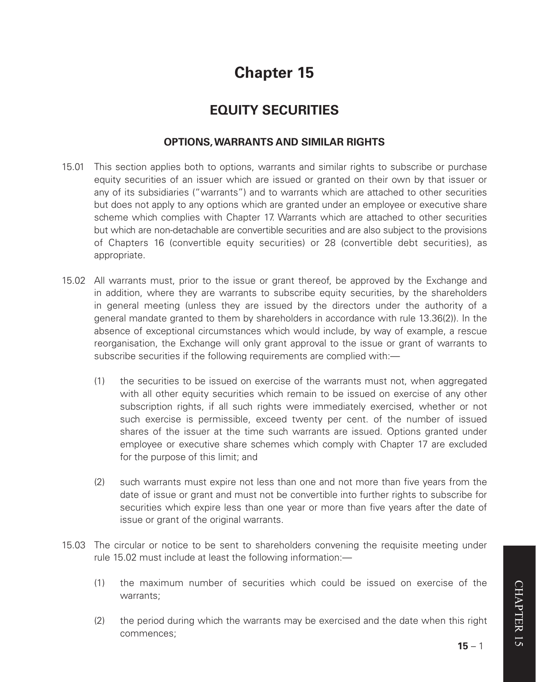## **Chapter 15**

## **EQUITY SECURITIES**

## **OPTIONS, WARRANTS AND SIMILAR RIGHTS**

- 15.01 This section applies both to options, warrants and similar rights to subscribe or purchase equity securities of an issuer which are issued or granted on their own by that issuer or any of its subsidiaries ("warrants") and to warrants which are attached to other securities but does not apply to any options which are granted under an employee or executive share scheme which complies with Chapter 17. Warrants which are attached to other securities but which are non-detachable are convertible securities and are also subject to the provisions of Chapters 16 (convertible equity securities) or 28 (convertible debt securities), as appropriate.
- 15.02 All warrants must, prior to the issue or grant thereof, be approved by the Exchange and in addition, where they are warrants to subscribe equity securities, by the shareholders in general meeting (unless they are issued by the directors under the authority of a general mandate granted to them by shareholders in accordance with rule 13.36(2)). In the absence of exceptional circumstances which would include, by way of example, a rescue reorganisation, the Exchange will only grant approval to the issue or grant of warrants to subscribe securities if the following requirements are complied with:-
	- (1) the securities to be issued on exercise of the warrants must not, when aggregated with all other equity securities which remain to be issued on exercise of any other subscription rights, if all such rights were immediately exercised, whether or not such exercise is permissible, exceed twenty per cent. of the number of issued shares of the issuer at the time such warrants are issued. Options granted under employee or executive share schemes which comply with Chapter 17 are excluded for the purpose of this limit; and
	- (2) such warrants must expire not less than one and not more than five years from the date of issue or grant and must not be convertible into further rights to subscribe for securities which expire less than one year or more than five years after the date of issue or grant of the original warrants.
- 15.03 The circular or notice to be sent to shareholders convening the requisite meeting under rule 15.02 must include at least the following information:—
	- (1) the maximum number of securities which could be issued on exercise of the warrants;
	- (2) the period during which the warrants may be exercised and the date when this right commences;